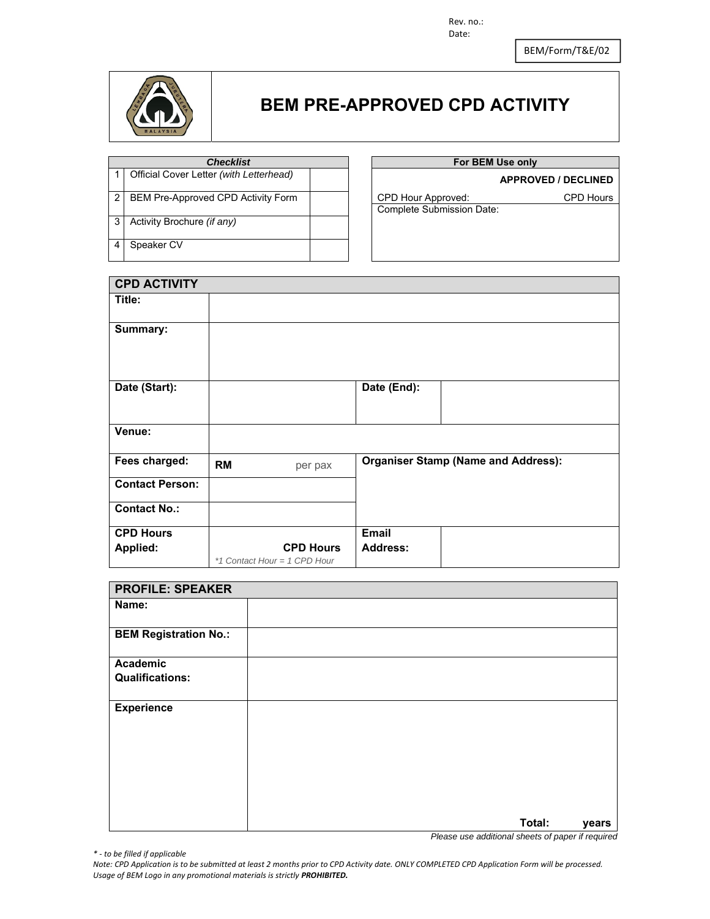Rev. no.: Date:

BEM/Form/T&E/02



### **BEM PRE-APPROVED CPD ACTIVITY**

| <b>C</b> necklist                         |
|-------------------------------------------|
| 1 Official Cover Letter (with Letterhead) |

2 BEM Pre-Approved CPD Activity Form CPD Hour Approved: CPD Hours

3 Activity Brochure *(if any)*

4 Speaker CV

#### **For BEM Use only**

#### 1 Official Cover Letter *(with Letterhead)* **APPROVED / DECLINED**

Complete Submission Date:

**CPD ACTIVITY Title: Summary:**  Date (Start): **Date (End): Date (End): Venue: Fees charged:** RM per pax **Organiser Stamp (Name and Address): Contact Person: Contact No.: CPD Hours Applied: CPD Hours**  *\*1 Contact Hour = 1 CPD Hour* **Email Address:** 

| <b>PROFILE: SPEAKER</b>      |        |       |
|------------------------------|--------|-------|
| Name:                        |        |       |
| <b>BEM Registration No.:</b> |        |       |
| Academic                     |        |       |
| <b>Qualifications:</b>       |        |       |
| <b>Experience</b>            |        |       |
|                              | Total: | years |

*Please use additional sheets of paper if required* 

*\* ‐ to be filled if applicable*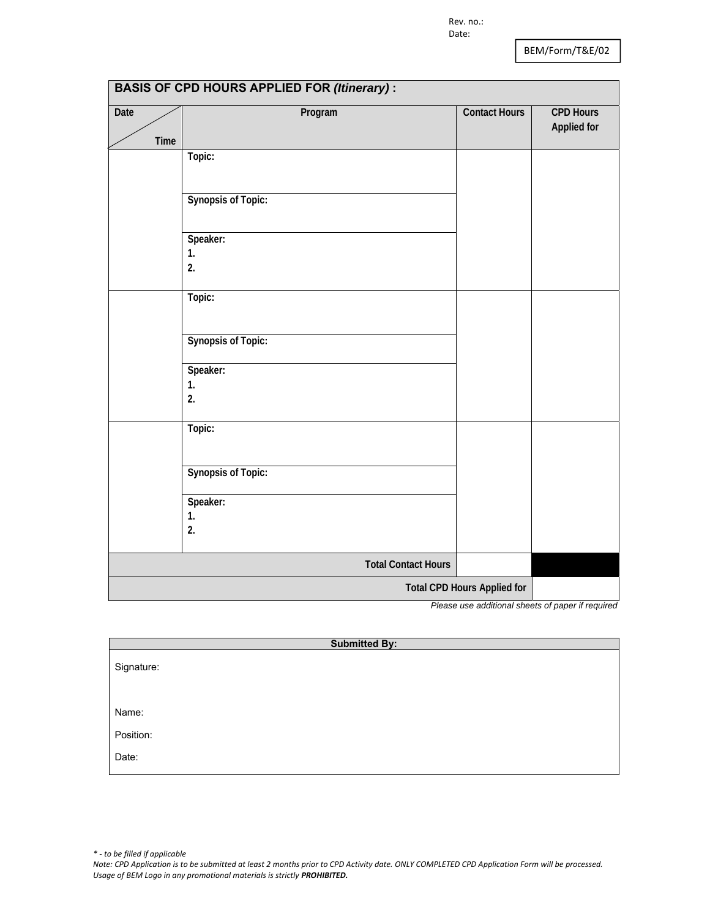| <b>BASIS OF CPD HOURS APPLIED FOR (Itinerary):</b> |                            |                                    |                                        |
|----------------------------------------------------|----------------------------|------------------------------------|----------------------------------------|
| <b>Date</b>                                        | Program                    | <b>Contact Hours</b>               | <b>CPD Hours</b><br><b>Applied for</b> |
| Time                                               | Topic:                     |                                    |                                        |
|                                                    |                            |                                    |                                        |
|                                                    | <b>Synopsis of Topic:</b>  |                                    |                                        |
|                                                    | Speaker:                   |                                    |                                        |
|                                                    | 1.                         |                                    |                                        |
|                                                    | 2.                         |                                    |                                        |
|                                                    | Topic:                     |                                    |                                        |
|                                                    |                            |                                    |                                        |
|                                                    | <b>Synopsis of Topic:</b>  |                                    |                                        |
|                                                    | Speaker:                   |                                    |                                        |
|                                                    | 1.<br>2.                   |                                    |                                        |
|                                                    |                            |                                    |                                        |
|                                                    | Topic:                     |                                    |                                        |
|                                                    |                            |                                    |                                        |
|                                                    | <b>Synopsis of Topic:</b>  |                                    |                                        |
|                                                    | Speaker:                   |                                    |                                        |
|                                                    | 1.                         |                                    |                                        |
|                                                    | 2.                         |                                    |                                        |
|                                                    | <b>Total Contact Hours</b> |                                    |                                        |
|                                                    |                            | <b>Total CPD Hours Applied for</b> |                                        |
|                                                    | D,                         |                                    | $\overline{f}$<br>$\ldots$ if $\ldots$ |

*Please use additional sheets of paper if required* 

| <b>Submitted By:</b> |  |
|----------------------|--|
| Signature:           |  |
| Name:                |  |
| Position:            |  |
| Date:                |  |
|                      |  |

*\* ‐ to be filled if applicable Note: CPD Application is to be submitted at least 2 months prior to CPD Activity date. ONLY COMPLETED CPD Application Form will be processed. Usage of BEM Logo in any promotional materials is strictly PROHIBITED.*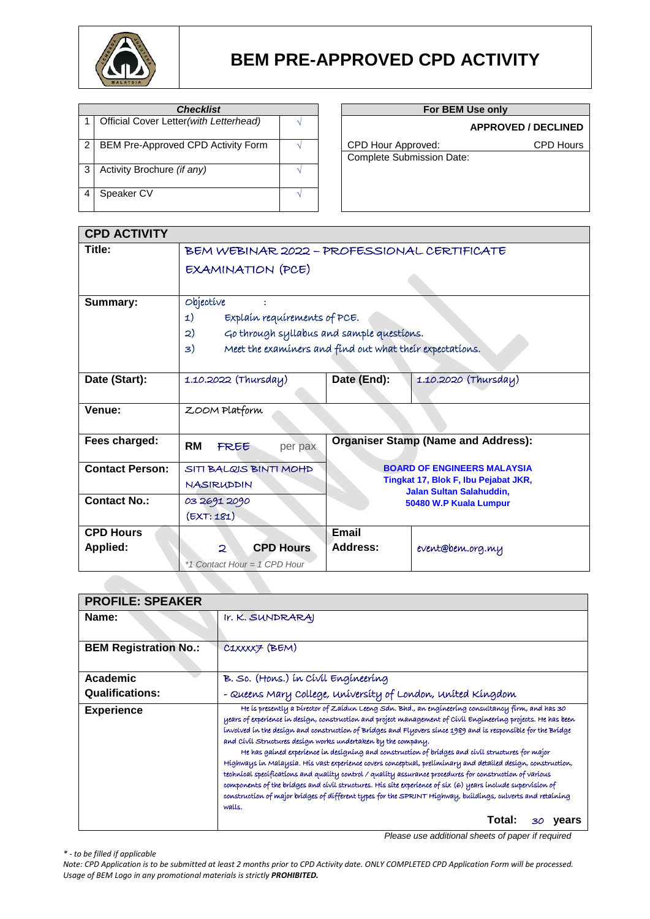

| <b>Checklist</b> |                                         |  |
|------------------|-----------------------------------------|--|
|                  | Official Cover Letter (with Letterhead) |  |
|                  | BEM Pre-Approved CPD Activity Form      |  |
| 3                | Activity Brochure (if any)              |  |
|                  | Speaker CV                              |  |

### **For BEM Use only**

### <sup>1</sup> Official Cover Letter*(with Letterhead)* <sup>√</sup> **APPROVED / DECLINED**

CPD Hour Approved: CPD Hours

| <b>Complete Submission Date:</b> |  |
|----------------------------------|--|

| <b>CPD ACTIVITY</b>    |                                                                |                                                           |                                      |  |
|------------------------|----------------------------------------------------------------|-----------------------------------------------------------|--------------------------------------|--|
| Title:                 |                                                                | BEM WEBINAR 2022 - PROFESSIONAL CERTIFICATE               |                                      |  |
|                        | <b>EXAMINATION (PCE)</b>                                       |                                                           |                                      |  |
|                        |                                                                |                                                           |                                      |  |
| Summary:               | Objective                                                      |                                                           |                                      |  |
|                        | Explain requirements of PCE.<br>1)                             |                                                           |                                      |  |
|                        | Go through syllabus and sample questions.<br>2)                |                                                           |                                      |  |
|                        | Meet the examiners and find out what their expectations.<br>3) |                                                           |                                      |  |
|                        |                                                                |                                                           |                                      |  |
| Date (Start):          | 1.10.2022 (Thursday)                                           | Date (End):                                               | 1.10.2020 (Thursday)                 |  |
|                        |                                                                |                                                           |                                      |  |
| Venue:                 | ZOOM Platform                                                  |                                                           |                                      |  |
|                        |                                                                |                                                           |                                      |  |
| Fees charged:          | <b>RM</b><br>FREE<br>per pax                                   | <b>Organiser Stamp (Name and Address):</b>                |                                      |  |
| <b>Contact Person:</b> | SITI BALQIS BINTI MOHD                                         |                                                           | <b>BOARD OF ENGINEERS MALAYSIA</b>   |  |
|                        | <b>NASIRUDDIN</b>                                              |                                                           | Tingkat 17, Blok F, Ibu Pejabat JKR, |  |
| <b>Contact No.:</b>    | 03 2691 2090                                                   | <b>Jalan Sultan Salahuddin,</b><br>50480 W.P Kuala Lumpur |                                      |  |
|                        | (EXT:181)                                                      |                                                           |                                      |  |
| <b>CPD Hours</b>       |                                                                | Email                                                     |                                      |  |
| <b>Applied:</b>        | $\mathcal{D}$<br><b>CPD Hours</b>                              | Address:                                                  | event@bem.org.my                     |  |
|                        | *1 Contact Hour = 1 CPD Hour                                   |                                                           |                                      |  |

| <b>PROFILE: SPEAKER</b>      |                                                                                                                                                                                                                                                                                                                                                                                                                                                                                                                                                                                                                                                                                                                                                                                                                                                                                                                                                                                            |  |  |
|------------------------------|--------------------------------------------------------------------------------------------------------------------------------------------------------------------------------------------------------------------------------------------------------------------------------------------------------------------------------------------------------------------------------------------------------------------------------------------------------------------------------------------------------------------------------------------------------------------------------------------------------------------------------------------------------------------------------------------------------------------------------------------------------------------------------------------------------------------------------------------------------------------------------------------------------------------------------------------------------------------------------------------|--|--|
| Name:                        | Ir. K. SUNDRARAJ                                                                                                                                                                                                                                                                                                                                                                                                                                                                                                                                                                                                                                                                                                                                                                                                                                                                                                                                                                           |  |  |
| <b>BEM Registration No.:</b> | C1XXXX7 (BEM)                                                                                                                                                                                                                                                                                                                                                                                                                                                                                                                                                                                                                                                                                                                                                                                                                                                                                                                                                                              |  |  |
| Academic                     | B. Sc. (Hons.) in Civil Engineering                                                                                                                                                                                                                                                                                                                                                                                                                                                                                                                                                                                                                                                                                                                                                                                                                                                                                                                                                        |  |  |
| <b>Qualifications:</b>       | - Queens Mary College, university of London, united Kingdom                                                                                                                                                                                                                                                                                                                                                                                                                                                                                                                                                                                                                                                                                                                                                                                                                                                                                                                                |  |  |
| <b>Experience</b>            | He is presently a Director of Zaidun Leeng Sdn. Bhd., an engineering consultancy firm, and has 30<br>years of experience in design, construction and project management of Civil Engineering projects. He has been<br>involved in the design and construction of Bridges and Flyovers since 1989 and is responsible for the Bridge<br>and Civil Structures design works undertaken by the company.<br>He has gained experience in designing and construction of bridges and civil structures for major<br>Híghways ín Malaysía. Hís vast experience covers conceptual, preliminary and detailed design, construction,<br>technical specifications and quality control / quality assurance procedures for construction of various<br>components of the bridges and civil structures. His site experience of six (6) years include supervision of<br>construction of major bridges of different types for the SPRINT Highway, buildings, culverts and retaining<br>walls.<br>Total:<br>vears |  |  |

*Please use additional sheets of paper if required*

*\* - to be filled if applicable*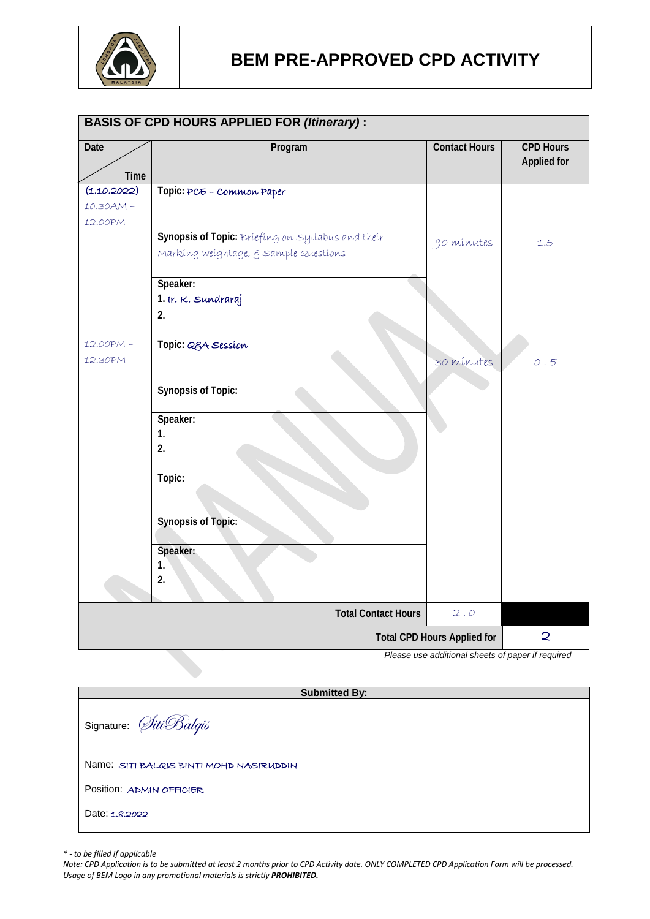

|                     | <b>BASIS OF CPD HOURS APPLIED FOR (Itinerary):</b>                                         |                                    |                                        |
|---------------------|--------------------------------------------------------------------------------------------|------------------------------------|----------------------------------------|
| <b>Date</b><br>Time | Program                                                                                    | <b>Contact Hours</b>               | <b>CPD Hours</b><br><b>Applied for</b> |
| (1.10.2022)         | Topic: PCE - Common Paper                                                                  |                                    |                                        |
| 10.30AM-            |                                                                                            |                                    |                                        |
| 12.00PM             |                                                                                            |                                    |                                        |
|                     | Synopsis of Topic: Briefing on Syllabus and their<br>Marking weightage, § Sample Questions | 90 mínutes                         | 1.5                                    |
|                     | Speaker:                                                                                   |                                    |                                        |
|                     | 1. Ir. K. Sundraraj                                                                        |                                    |                                        |
|                     | 2.                                                                                         |                                    |                                        |
| 12.00PM-            | Topic: Q&A Session                                                                         |                                    |                                        |
| 12.30PM             |                                                                                            | 30 mínutes                         | 0.5                                    |
|                     |                                                                                            |                                    |                                        |
|                     | <b>Synopsis of Topic:</b>                                                                  |                                    |                                        |
|                     | Speaker:                                                                                   |                                    |                                        |
|                     | 1.                                                                                         |                                    |                                        |
|                     | 2.                                                                                         |                                    |                                        |
|                     | Topic:                                                                                     |                                    |                                        |
|                     | <b>Synopsis of Topic:</b>                                                                  |                                    |                                        |
|                     | Speaker:<br>1.<br>2.                                                                       |                                    |                                        |
|                     | <b>Total Contact Hours</b>                                                                 | 2.0                                |                                        |
|                     |                                                                                            | <b>Total CPD Hours Applied for</b> | $\mathbf{z}$                           |
|                     | Please use additional sheets of paper if required                                          |                                    |                                        |

**Submitted By:** Signature: *SitiBalqis* Name: SITI BALQIS BINTI MOHD NASIRUDDIN Position: ADMIN OFFICIER Date: 1.8.2022

*\* - to be filled if applicable*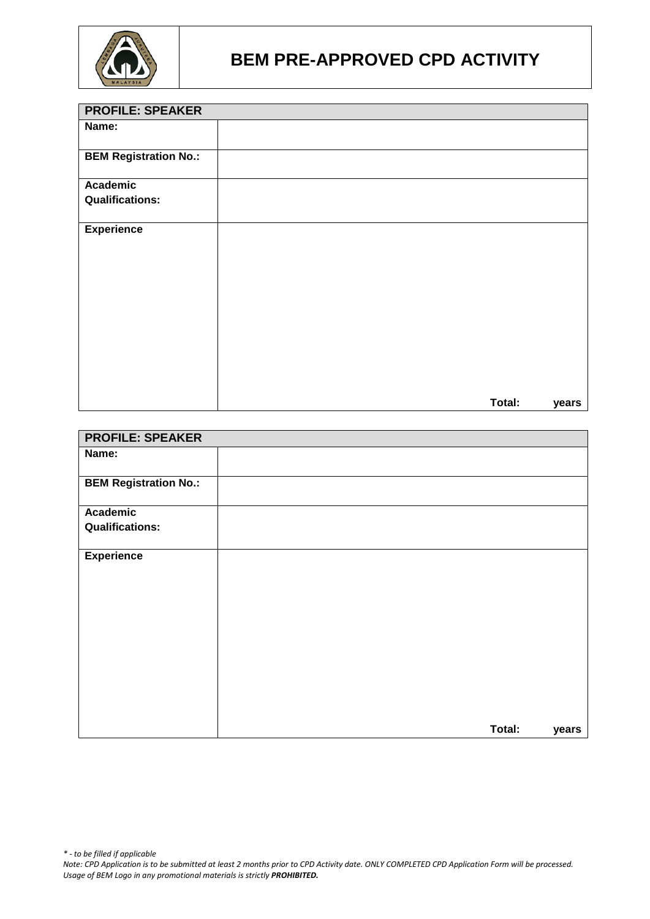

| <b>PROFILE: SPEAKER</b>      |        |       |
|------------------------------|--------|-------|
| Name:                        |        |       |
| <b>BEM Registration No.:</b> |        |       |
| <b>Academic</b>              |        |       |
| <b>Qualifications:</b>       |        |       |
| <b>Experience</b>            |        |       |
|                              |        |       |
|                              |        |       |
|                              |        |       |
|                              |        |       |
|                              |        |       |
|                              | Total: | years |

| <b>PROFILE: SPEAKER</b>      |        |       |
|------------------------------|--------|-------|
| Name:                        |        |       |
| <b>BEM Registration No.:</b> |        |       |
| Academic                     |        |       |
| <b>Qualifications:</b>       |        |       |
| <b>Experience</b>            |        |       |
|                              | Total: | years |